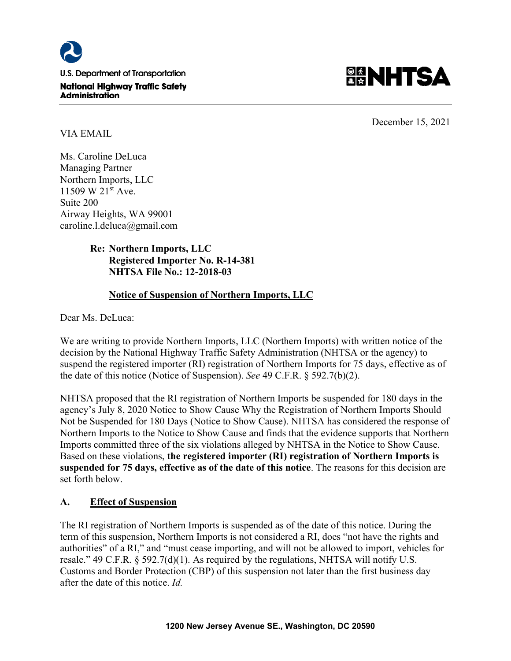



December 15, 2021

VIA EMAIL

Ms. Caroline DeLuca Managing Partner Northern Imports, LLC 11509 W 21<sup>st</sup> Ave. Suite 200 Airway Heights, WA 99001 caroline.l.deluca@gmail.com

# **Re: Northern Imports, LLC Registered Importer No. R-14-381 NHTSA File No.: 12-2018-03**

# **Notice of Suspension of Northern Imports, LLC**

Dear Ms. DeLuca:

We are writing to provide Northern Imports, LLC (Northern Imports) with written notice of the decision by the National Highway Traffic Safety Administration (NHTSA or the agency) to suspend the registered importer (RI) registration of Northern Imports for 75 days, effective as of the date of this notice (Notice of Suspension). *See* 49 C.F.R. § 592.7(b)(2).

NHTSA proposed that the RI registration of Northern Imports be suspended for 180 days in the agency's July 8, 2020 Notice to Show Cause Why the Registration of Northern Imports Should Not be Suspended for 180 Days (Notice to Show Cause). NHTSA has considered the response of Northern Imports to the Notice to Show Cause and finds that the evidence supports that Northern Imports committed three of the six violations alleged by NHTSA in the Notice to Show Cause. Based on these violations, **the registered importer (RI) registration of Northern Imports is suspended for 75 days, effective as of the date of this notice**. The reasons for this decision are set forth below.

# **A. Effect of Suspension**

The RI registration of Northern Imports is suspended as of the date of this notice. During the term of this suspension, Northern Imports is not considered a RI, does "not have the rights and authorities" of a RI," and "must cease importing, and will not be allowed to import, vehicles for resale." 49 C.F.R. § 592.7(d)(1). As required by the regulations, NHTSA will notify U.S. Customs and Border Protection (CBP) of this suspension not later than the first business day after the date of this notice. *Id.*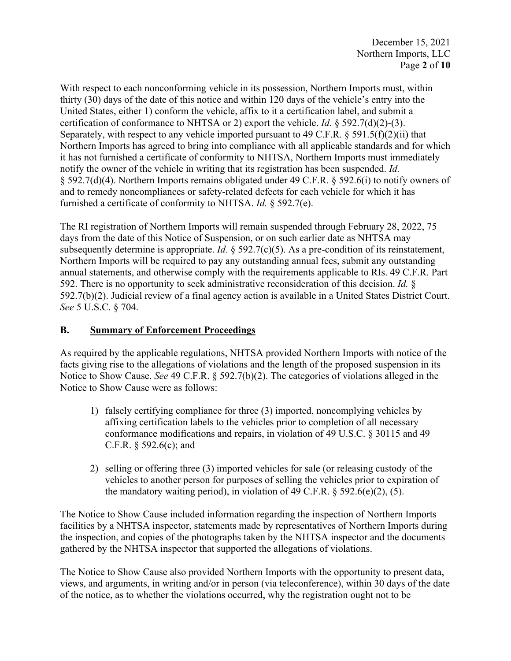With respect to each nonconforming vehicle in its possession, Northern Imports must, within thirty (30) days of the date of this notice and within 120 days of the vehicle's entry into the United States, either 1) conform the vehicle, affix to it a certification label, and submit a certification of conformance to NHTSA or 2) export the vehicle. *Id.* § 592.7(d)(2)-(3). Separately, with respect to any vehicle imported pursuant to 49 C.F.R.  $\delta$  591.5(f)(2)(ii) that Northern Imports has agreed to bring into compliance with all applicable standards and for which it has not furnished a certificate of conformity to NHTSA, Northern Imports must immediately notify the owner of the vehicle in writing that its registration has been suspended. *Id.* § 592.7(d)(4). Northern Imports remains obligated under 49 C.F.R. § 592.6(i) to notify owners of and to remedy noncompliances or safety-related defects for each vehicle for which it has furnished a certificate of conformity to NHTSA. *Id.* § 592.7(e).

The RI registration of Northern Imports will remain suspended through February 28, 2022, 75 days from the date of this Notice of Suspension, or on such earlier date as NHTSA may subsequently determine is appropriate. *Id.* § 592.7(c)(5). As a pre-condition of its reinstatement, Northern Imports will be required to pay any outstanding annual fees, submit any outstanding annual statements, and otherwise comply with the requirements applicable to RIs. 49 C.F.R. Part 592. There is no opportunity to seek administrative reconsideration of this decision. *Id.* § 592.7(b)(2). Judicial review of a final agency action is available in a United States District Court. *See* 5 U.S.C. § 704.

### **B. Summary of Enforcement Proceedings**

As required by the applicable regulations, NHTSA provided Northern Imports with notice of the facts giving rise to the allegations of violations and the length of the proposed suspension in its Notice to Show Cause. *See* 49 C.F.R. § 592.7(b)(2). The categories of violations alleged in the Notice to Show Cause were as follows:

- 1) falsely certifying compliance for three (3) imported, noncomplying vehicles by affixing certification labels to the vehicles prior to completion of all necessary conformance modifications and repairs, in violation of 49 U.S.C. § 30115 and 49 C.F.R. § 592.6(c); and
- 2) selling or offering three (3) imported vehicles for sale (or releasing custody of the vehicles to another person for purposes of selling the vehicles prior to expiration of the mandatory waiting period), in violation of 49 C.F.R.  $\S$  592.6(e)(2), (5).

The Notice to Show Cause included information regarding the inspection of Northern Imports facilities by a NHTSA inspector, statements made by representatives of Northern Imports during the inspection, and copies of the photographs taken by the NHTSA inspector and the documents gathered by the NHTSA inspector that supported the allegations of violations.

The Notice to Show Cause also provided Northern Imports with the opportunity to present data, views, and arguments, in writing and/or in person (via teleconference), within 30 days of the date of the notice, as to whether the violations occurred, why the registration ought not to be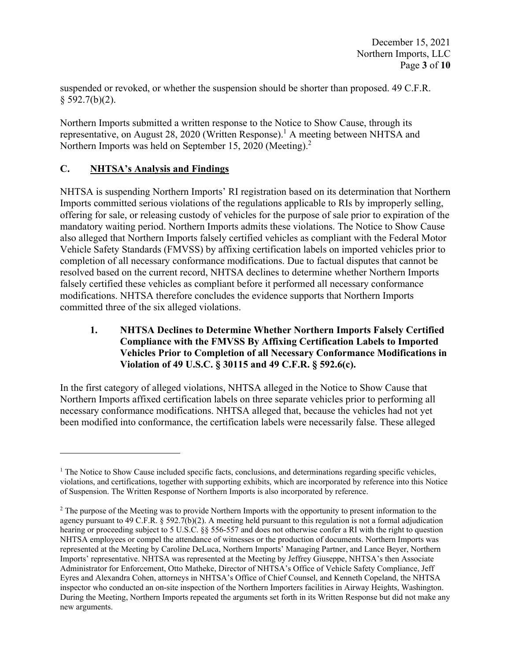suspended or revoked, or whether the suspension should be shorter than proposed. 49 C.F.R.  $§$  592.7(b)(2).

Northern Imports submitted a written response to the Notice to Show Cause, through its representative, on August 28, 2020 (Written Response).<sup>1</sup> A meeting between NHTSA and Northern Imports was held on September 15, 2020 (Meeting).<sup>2</sup>

# **C. NHTSA's Analysis and Findings**

NHTSA is suspending Northern Imports' RI registration based on its determination that Northern Imports committed serious violations of the regulations applicable to RIs by improperly selling, offering for sale, or releasing custody of vehicles for the purpose of sale prior to expiration of the mandatory waiting period. Northern Imports admits these violations. The Notice to Show Cause also alleged that Northern Imports falsely certified vehicles as compliant with the Federal Motor Vehicle Safety Standards (FMVSS) by affixing certification labels on imported vehicles prior to completion of all necessary conformance modifications. Due to factual disputes that cannot be resolved based on the current record, NHTSA declines to determine whether Northern Imports falsely certified these vehicles as compliant before it performed all necessary conformance modifications. NHTSA therefore concludes the evidence supports that Northern Imports committed three of the six alleged violations.

#### **1. NHTSA Declines to Determine Whether Northern Imports Falsely Certified Compliance with the FMVSS By Affixing Certification Labels to Imported Vehicles Prior to Completion of all Necessary Conformance Modifications in Violation of 49 U.S.C. § 30115 and 49 C.F.R. § 592.6(c).**

In the first category of alleged violations, NHTSA alleged in the Notice to Show Cause that Northern Imports affixed certification labels on three separate vehicles prior to performing all necessary conformance modifications. NHTSA alleged that, because the vehicles had not yet been modified into conformance, the certification labels were necessarily false. These alleged

<sup>&</sup>lt;sup>1</sup> The Notice to Show Cause included specific facts, conclusions, and determinations regarding specific vehicles, violations, and certifications, together with supporting exhibits, which are incorporated by reference into this Notice of Suspension. The Written Response of Northern Imports is also incorporated by reference.

 $2$  The purpose of the Meeting was to provide Northern Imports with the opportunity to present information to the agency pursuant to 49 C.F.R.  $\S 592.7(b)(2)$ . A meeting held pursuant to this regulation is not a formal adjudication hearing or proceeding subject to 5 U.S.C. §§ 556-557 and does not otherwise confer a RI with the right to question NHTSA employees or compel the attendance of witnesses or the production of documents. Northern Imports was represented at the Meeting by Caroline DeLuca, Northern Imports' Managing Partner, and Lance Beyer, Northern Imports' representative. NHTSA was represented at the Meeting by Jeffrey Giuseppe, NHTSA's then Associate Administrator for Enforcement, Otto Matheke, Director of NHTSA's Office of Vehicle Safety Compliance, Jeff Eyres and Alexandra Cohen, attorneys in NHTSA's Office of Chief Counsel, and Kenneth Copeland, the NHTSA inspector who conducted an on-site inspection of the Northern Importers facilities in Airway Heights, Washington. During the Meeting, Northern Imports repeated the arguments set forth in its Written Response but did not make any new arguments.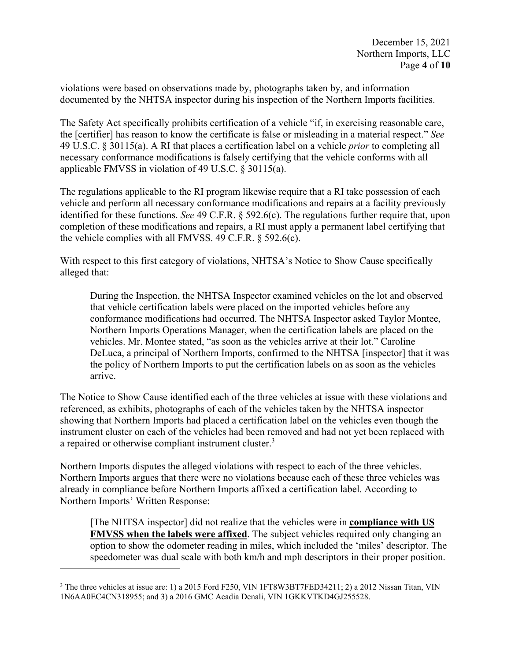violations were based on observations made by, photographs taken by, and information documented by the NHTSA inspector during his inspection of the Northern Imports facilities.

The Safety Act specifically prohibits certification of a vehicle "if, in exercising reasonable care, the [certifier] has reason to know the certificate is false or misleading in a material respect." *See* 49 U.S.C. § 30115(a). A RI that places a certification label on a vehicle *prior* to completing all necessary conformance modifications is falsely certifying that the vehicle conforms with all applicable FMVSS in violation of 49 U.S.C. § 30115(a).

The regulations applicable to the RI program likewise require that a RI take possession of each vehicle and perform all necessary conformance modifications and repairs at a facility previously identified for these functions. *See* 49 C.F.R. § 592.6(c). The regulations further require that, upon completion of these modifications and repairs, a RI must apply a permanent label certifying that the vehicle complies with all FMVSS. 49 C.F.R. § 592.6(c).

With respect to this first category of violations, NHTSA's Notice to Show Cause specifically alleged that:

During the Inspection, the NHTSA Inspector examined vehicles on the lot and observed that vehicle certification labels were placed on the imported vehicles before any conformance modifications had occurred. The NHTSA Inspector asked Taylor Montee, Northern Imports Operations Manager, when the certification labels are placed on the vehicles. Mr. Montee stated, "as soon as the vehicles arrive at their lot." Caroline DeLuca, a principal of Northern Imports, confirmed to the NHTSA [inspector] that it was the policy of Northern Imports to put the certification labels on as soon as the vehicles arrive.

The Notice to Show Cause identified each of the three vehicles at issue with these violations and referenced, as exhibits, photographs of each of the vehicles taken by the NHTSA inspector showing that Northern Imports had placed a certification label on the vehicles even though the instrument cluster on each of the vehicles had been removed and had not yet been replaced with a repaired or otherwise compliant instrument cluster.<sup>3</sup>

Northern Imports disputes the alleged violations with respect to each of the three vehicles. Northern Imports argues that there were no violations because each of these three vehicles was already in compliance before Northern Imports affixed a certification label. According to Northern Imports' Written Response:

[The NHTSA inspector] did not realize that the vehicles were in **compliance with US FMVSS when the labels were affixed**. The subject vehicles required only changing an option to show the odometer reading in miles, which included the 'miles' descriptor. The speedometer was dual scale with both km/h and mph descriptors in their proper position.

<sup>&</sup>lt;sup>3</sup> The three vehicles at issue are: 1) a 2015 Ford F250, VIN 1FT8W3BT7FED34211; 2) a 2012 Nissan Titan, VIN 1N6AA0EC4CN318955; and 3) a 2016 GMC Acadia Denali, VIN 1GKKVTKD4GJ255528.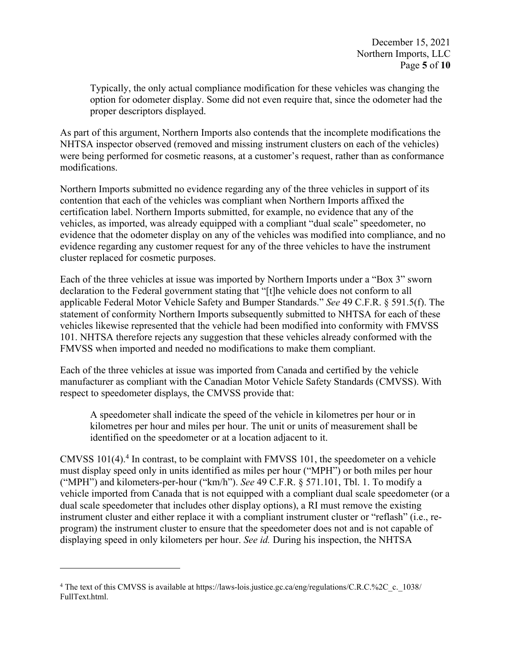Typically, the only actual compliance modification for these vehicles was changing the option for odometer display. Some did not even require that, since the odometer had the proper descriptors displayed.

As part of this argument, Northern Imports also contends that the incomplete modifications the NHTSA inspector observed (removed and missing instrument clusters on each of the vehicles) were being performed for cosmetic reasons, at a customer's request, rather than as conformance modifications.

Northern Imports submitted no evidence regarding any of the three vehicles in support of its contention that each of the vehicles was compliant when Northern Imports affixed the certification label. Northern Imports submitted, for example, no evidence that any of the vehicles, as imported, was already equipped with a compliant "dual scale" speedometer, no evidence that the odometer display on any of the vehicles was modified into compliance, and no evidence regarding any customer request for any of the three vehicles to have the instrument cluster replaced for cosmetic purposes.

Each of the three vehicles at issue was imported by Northern Imports under a "Box 3" sworn declaration to the Federal government stating that "[t]he vehicle does not conform to all applicable Federal Motor Vehicle Safety and Bumper Standards." *See* 49 C.F.R. § 591.5(f). The statement of conformity Northern Imports subsequently submitted to NHTSA for each of these vehicles likewise represented that the vehicle had been modified into conformity with FMVSS 101. NHTSA therefore rejects any suggestion that these vehicles already conformed with the FMVSS when imported and needed no modifications to make them compliant.

Each of the three vehicles at issue was imported from Canada and certified by the vehicle manufacturer as compliant with the Canadian Motor Vehicle Safety Standards (CMVSS). With respect to speedometer displays, the CMVSS provide that:

A speedometer shall indicate the speed of the vehicle in kilometres per hour or in kilometres per hour and miles per hour. The unit or units of measurement shall be identified on the speedometer or at a location adjacent to it.

CMVSS 101(4).<sup>4</sup> In contrast, to be complaint with FMVSS 101, the speedometer on a vehicle must display speed only in units identified as miles per hour ("MPH") or both miles per hour ("MPH") and kilometers-per-hour ("km/h"). *See* 49 C.F.R. § 571.101, Tbl. 1. To modify a vehicle imported from Canada that is not equipped with a compliant dual scale speedometer (or a dual scale speedometer that includes other display options), a RI must remove the existing instrument cluster and either replace it with a compliant instrument cluster or "reflash" (i.e., reprogram) the instrument cluster to ensure that the speedometer does not and is not capable of displaying speed in only kilometers per hour. *See id.* During his inspection, the NHTSA

<sup>&</sup>lt;sup>4</sup> The text of this CMVSS is available at https://laws-lois.justice.gc.ca/eng/regulations/C.R.C.%2C\_c.\_1038/ FullText.html.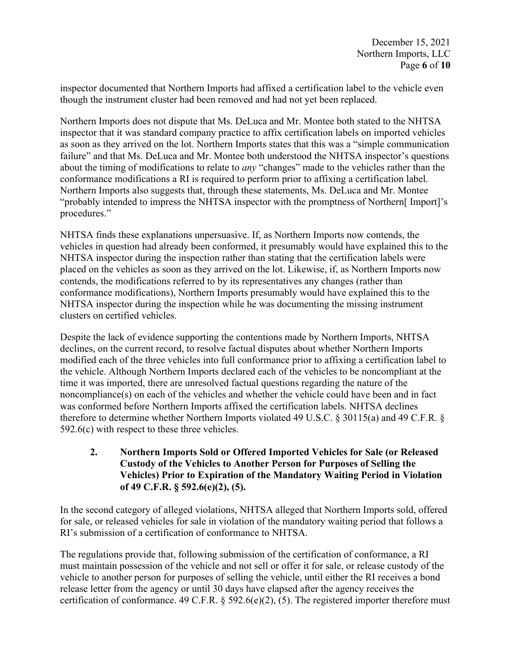inspector documented that Northern Imports had affixed a certification label to the vehicle even though the instrument cluster had been removed and had not yet been replaced.

Northern Imports does not dispute that Ms. DeLuca and Mr. Montee both stated to the NHTSA inspector that it was standard company practice to affix certification labels on imported vehicles as soon as they arrived on the lot. Northern Imports states that this was a "simple communication failure" and that Ms. DeLuca and Mr. Montee both understood the NHTSA inspector's questions about the timing of modifications to relate to *any* "changes" made to the vehicles rather than the conformance modifications a RI is required to perform prior to affixing a certification label. Northern Imports also suggests that, through these statements, Ms. DeLuca and Mr. Montee "probably intended to impress the NHTSA inspector with the promptness of Northern[ Import]'s procedures."

NHTSA finds these explanations unpersuasive. If, as Northern Imports now contends, the vehicles in question had already been conformed, it presumably would have explained this to the NHTSA inspector during the inspection rather than stating that the certification labels were placed on the vehicles as soon as they arrived on the lot. Likewise, if, as Northern Imports now contends, the modifications referred to by its representatives any changes (rather than conformance modifications), Northern Imports presumably would have explained this to the NHTSA inspector during the inspection while he was documenting the missing instrument clusters on certified vehicles.

Despite the lack of evidence supporting the contentions made by Northern Imports, NHTSA declines, on the current record, to resolve factual disputes about whether Northern Imports modified each of the three vehicles into full conformance prior to affixing a certification label to the vehicle. Although Northern Imports declared each of the vehicles to be noncompliant at the time it was imported, there are unresolved factual questions regarding the nature of the noncompliance(s) on each of the vehicles and whether the vehicle could have been and in fact was conformed before Northern Imports affixed the certification labels. NHTSA declines therefore to determine whether Northern Imports violated 49 U.S.C. § 30115(a) and 49 C.F.R. § 592.6(c) with respect to these three vehicles.

**2. Northern Imports Sold or Offered Imported Vehicles for Sale (or Released Custody of the Vehicles to Another Person for Purposes of Selling the Vehicles) Prior to Expiration of the Mandatory Waiting Period in Violation of 49 C.F.R. § 592.6(e)(2), (5).** 

In the second category of alleged violations, NHTSA alleged that Northern Imports sold, offered for sale, or released vehicles for sale in violation of the mandatory waiting period that follows a RI's submission of a certification of conformance to NHTSA.

The regulations provide that, following submission of the certification of conformance, a RI must maintain possession of the vehicle and not sell or offer it for sale, or release custody of the vehicle to another person for purposes of selling the vehicle, until either the RI receives a bond release letter from the agency or until 30 days have elapsed after the agency receives the certification of conformance. 49 C.F.R.  $\S$  592.6(e)(2), (5). The registered importer therefore must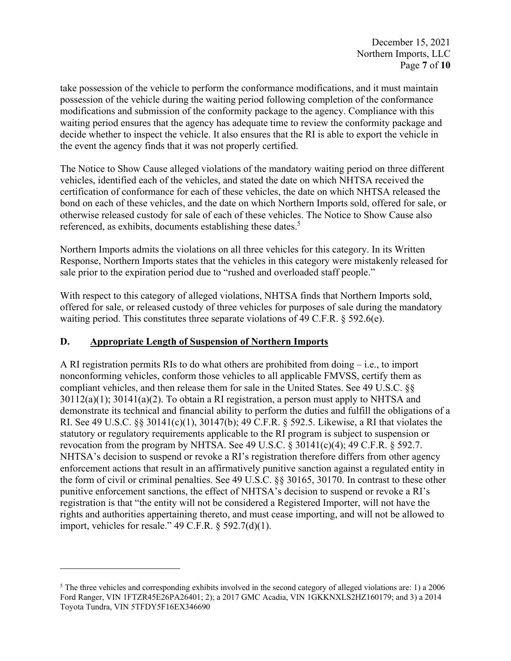take possession of the vehicle to perform the conformance modifications, and it must maintain possession of the vehicle during the waiting period following completion of the conformance modifications and submission of the conformity package to the agency. Compliance with this waiting period ensures that the agency has adequate time to review the conformity package and decide whether to inspect the vehicle. It also ensures that the RI is able to export the vehicle in the event the agency finds that it was not properly certified.

The Notice to Show Cause alleged violations of the mandatory waiting period on three different vehicles, identified each of the vehicles, and stated the date on which NHTSA received the certification of conformance for each of these vehicles, the date on which NHTSA released the bond on each of these vehicles, and the date on which Northern Imports sold, offered for sale, or otherwise released custody for sale of each of these vehicles. The Notice to Show Cause also referenced, as exhibits, documents establishing these dates.<sup>5</sup>

Northern Imports admits the violations on all three vehicles for this category. In its Written Response, Northern Imports states that the vehicles in this category were mistakenly released for sale prior to the expiration period due to "rushed and overloaded staff people."

With respect to this category of alleged violations, NHTSA finds that Northern Imports sold, offered for sale, or released custody of three vehicles for purposes of sale during the mandatory waiting period. This constitutes three separate violations of 49 C.F.R. § 592.6(e).

# **D. Appropriate Length of Suspension of Northern Imports**

A RI registration permits RIs to do what others are prohibited from doing – i.e., to import nonconforming vehicles, conform those vehicles to all applicable FMVSS, certify them as compliant vehicles, and then release them for sale in the United States. See 49 U.S.C. §§ 30112(a)(1); 30141(a)(2). To obtain a RI registration, a person must apply to NHTSA and demonstrate its technical and financial ability to perform the duties and fulfill the obligations of a RI. See 49 U.S.C. §§ 30141(c)(1), 30147(b); 49 C.F.R. § 592.5. Likewise, a RI that violates the statutory or regulatory requirements applicable to the RI program is subject to suspension or revocation from the program by NHTSA. See 49 U.S.C.  $\S$  30141(c)(4); 49 C.F.R.  $\S$  592.7. NHTSA's decision to suspend or revoke a RI's registration therefore differs from other agency enforcement actions that result in an affirmatively punitive sanction against a regulated entity in the form of civil or criminal penalties. See 49 U.S.C. §§ 30165, 30170. In contrast to these other punitive enforcement sanctions, the effect of NHTSA's decision to suspend or revoke a RI's registration is that "the entity will not be considered a Registered Importer, will not have the rights and authorities appertaining thereto, and must cease importing, and will not be allowed to import, vehicles for resale." 49 C.F.R. § 592.7(d)(1).

 $5$  The three vehicles and corresponding exhibits involved in the second category of alleged violations are: 1) a 2006 Ford Ranger, VIN 1FTZR45E26PA26401; 2); a 2017 GMC Acadia, VIN 1GKKNXLS2HZ160179; and 3) a 2014 Toyota Tundra, VIN 5TFDY5F16EX346690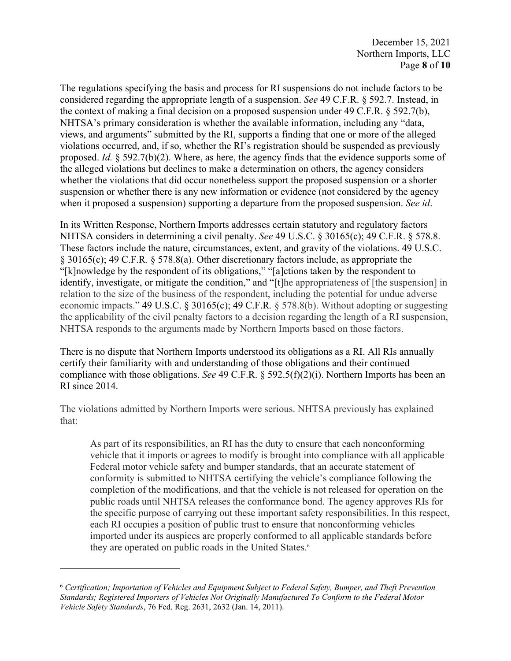The regulations specifying the basis and process for RI suspensions do not include factors to be considered regarding the appropriate length of a suspension. *See* 49 C.F.R. § 592.7. Instead, in the context of making a final decision on a proposed suspension under 49 C.F.R. § 592.7(b), NHTSA's primary consideration is whether the available information, including any "data, views, and arguments" submitted by the RI, supports a finding that one or more of the alleged violations occurred, and, if so, whether the RI's registration should be suspended as previously proposed. *Id.* § 592.7(b)(2). Where, as here, the agency finds that the evidence supports some of the alleged violations but declines to make a determination on others, the agency considers whether the violations that did occur nonetheless support the proposed suspension or a shorter suspension or whether there is any new information or evidence (not considered by the agency when it proposed a suspension) supporting a departure from the proposed suspension. *See id*.

In its Written Response, Northern Imports addresses certain statutory and regulatory factors NHTSA considers in determining a civil penalty. *See* 49 U.S.C. § 30165(c); 49 C.F.R. § 578.8. These factors include the nature, circumstances, extent, and gravity of the violations. 49 U.S.C. § 30165(c); 49 C.F.R*.* § 578.8(a). Other discretionary factors include, as appropriate the "[k]nowledge by the respondent of its obligations," "[a]ctions taken by the respondent to identify, investigate, or mitigate the condition," and "[t]he appropriateness of [the suspension] in relation to the size of the business of the respondent, including the potential for undue adverse economic impacts." 49 U.S.C. § 30165(c); 49 C.F.R*.* § 578.8(b). Without adopting or suggesting the applicability of the civil penalty factors to a decision regarding the length of a RI suspension, NHTSA responds to the arguments made by Northern Imports based on those factors.

There is no dispute that Northern Imports understood its obligations as a RI. All RIs annually certify their familiarity with and understanding of those obligations and their continued compliance with those obligations. *See* 49 C.F.R. § 592.5(f)(2)(i). Northern Imports has been an RI since 2014.

The violations admitted by Northern Imports were serious. NHTSA previously has explained that:

As part of its responsibilities, an RI has the duty to ensure that each nonconforming vehicle that it imports or agrees to modify is brought into compliance with all applicable Federal motor vehicle safety and bumper standards, that an accurate statement of conformity is submitted to NHTSA certifying the vehicle's compliance following the completion of the modifications, and that the vehicle is not released for operation on the public roads until NHTSA releases the conformance bond. The agency approves RIs for the specific purpose of carrying out these important safety responsibilities. In this respect, each RI occupies a position of public trust to ensure that nonconforming vehicles imported under its auspices are properly conformed to all applicable standards before they are operated on public roads in the United States.<sup>6</sup>

<sup>6</sup> *Certification; Importation of Vehicles and Equipment Subject to Federal Safety, Bumper, and Theft Prevention Standards; Registered Importers of Vehicles Not Originally Manufactured To Conform to the Federal Motor Vehicle Safety Standards*, 76 Fed. Reg. 2631, 2632 (Jan. 14, 2011).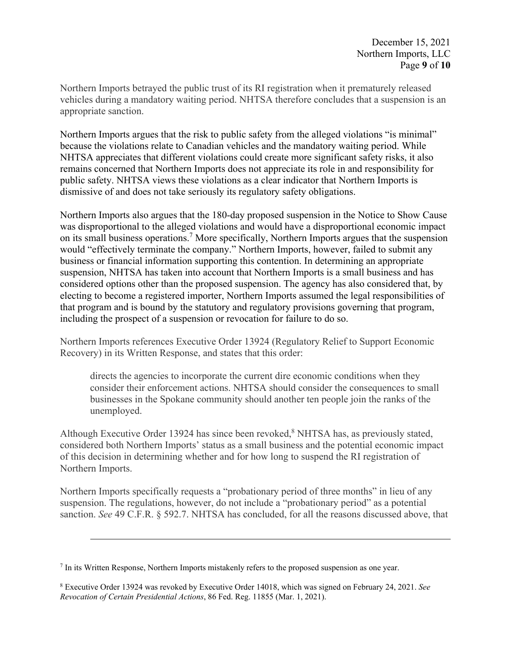Northern Imports betrayed the public trust of its RI registration when it prematurely released vehicles during a mandatory waiting period. NHTSA therefore concludes that a suspension is an appropriate sanction.

Northern Imports argues that the risk to public safety from the alleged violations "is minimal" because the violations relate to Canadian vehicles and the mandatory waiting period. While NHTSA appreciates that different violations could create more significant safety risks, it also remains concerned that Northern Imports does not appreciate its role in and responsibility for public safety. NHTSA views these violations as a clear indicator that Northern Imports is dismissive of and does not take seriously its regulatory safety obligations.

Northern Imports also argues that the 180-day proposed suspension in the Notice to Show Cause was disproportional to the alleged violations and would have a disproportional economic impact on its small business operations.<sup>7</sup> More specifically, Northern Imports argues that the suspension would "effectively terminate the company." Northern Imports, however, failed to submit any business or financial information supporting this contention. In determining an appropriate suspension, NHTSA has taken into account that Northern Imports is a small business and has considered options other than the proposed suspension. The agency has also considered that, by electing to become a registered importer, Northern Imports assumed the legal responsibilities of that program and is bound by the statutory and regulatory provisions governing that program, including the prospect of a suspension or revocation for failure to do so.

Northern Imports references Executive Order 13924 (Regulatory Relief to Support Economic Recovery) in its Written Response, and states that this order:

directs the agencies to incorporate the current dire economic conditions when they consider their enforcement actions. NHTSA should consider the consequences to small businesses in the Spokane community should another ten people join the ranks of the unemployed.

Although Executive Order 13924 has since been revoked,<sup>8</sup> NHTSA has, as previously stated, considered both Northern Imports' status as a small business and the potential economic impact of this decision in determining whether and for how long to suspend the RI registration of Northern Imports.

Northern Imports specifically requests a "probationary period of three months" in lieu of any suspension. The regulations, however, do not include a "probationary period" as a potential sanction. *See* 49 C.F.R. § 592.7. NHTSA has concluded, for all the reasons discussed above, that

<sup>7</sup> In its Written Response, Northern Imports mistakenly refers to the proposed suspension as one year.

<sup>8</sup> Executive Order 13924 was revoked by Executive Order 14018, which was signed on February 24, 2021. *See Revocation of Certain Presidential Actions*, 86 Fed. Reg. 11855 (Mar. 1, 2021).